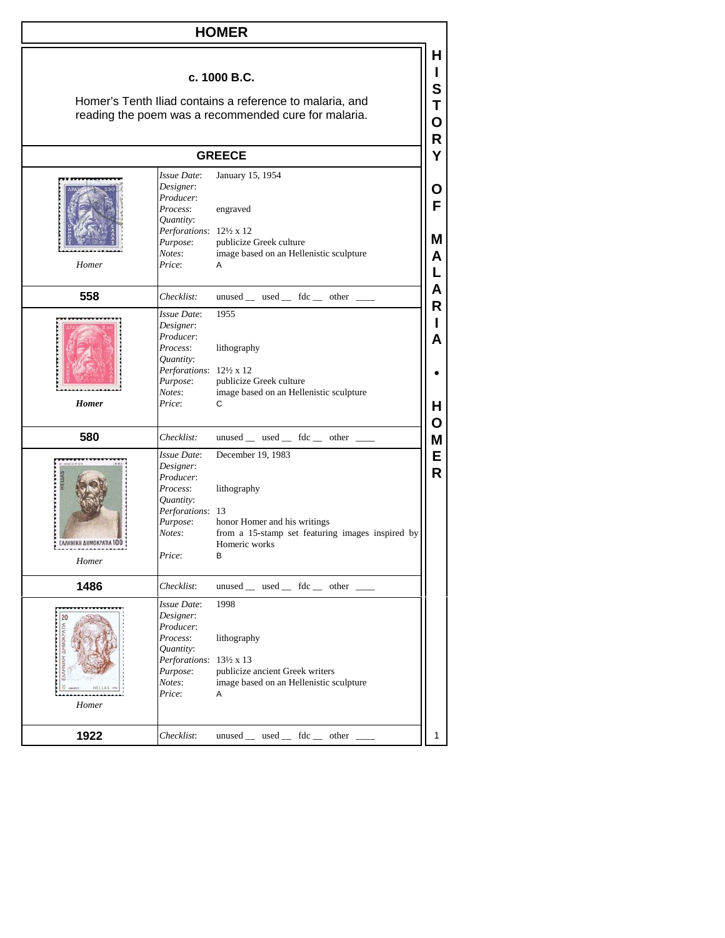| <b>HOMER</b>                                                                                                                     |                                                                                                                            |                                                                                                                                            |                  |  |
|----------------------------------------------------------------------------------------------------------------------------------|----------------------------------------------------------------------------------------------------------------------------|--------------------------------------------------------------------------------------------------------------------------------------------|------------------|--|
| c. 1000 B.C.<br>Homer's Tenth Iliad contains a reference to malaria, and<br>reading the poem was a recommended cure for malaria. |                                                                                                                            |                                                                                                                                            |                  |  |
| R<br><b>GREECE</b>                                                                                                               |                                                                                                                            |                                                                                                                                            |                  |  |
| Homer                                                                                                                            | Issue Date:<br>Designer:<br>Producer:<br>Process:<br>Quantity:<br>Perforations: 121/2 x 12<br>Purpose:<br>Notes:<br>Price: | January 15, 1954<br>engraved<br>publicize Greek culture<br>image based on an Hellenistic sculpture<br>A                                    | O<br>F<br>м<br>А |  |
| 558                                                                                                                              | Checklist:                                                                                                                 | unused __ used __ fdc __ other _                                                                                                           | А                |  |
| <b>Homer</b>                                                                                                                     | Issue Date:<br>Designer:<br>Producer:<br>Process:<br>Quantity:<br>Perforations: 12½ x 12<br>Purpose:<br>Notes:<br>Price:   | 1955<br>lithography<br>publicize Greek culture<br>image based on an Hellenistic sculpture<br>C                                             | R<br>А<br>H.     |  |
| 580                                                                                                                              | Checklist:                                                                                                                 | unused _ used _ fdc _ other _                                                                                                              | O<br>Μ           |  |
| EAAHNIKH AHMOKPATIA 100<br>Homer                                                                                                 | Issue Date:<br>Designer:<br>Producer:<br>Process:<br>Quantity:<br>Perforations: 13<br>Purpose:<br>Notes:<br>Price:         | December 19, 1983<br>lithography<br>honor Homer and his writings<br>from a 15-stamp set featuring images inspired by<br>Homeric works<br>в | E<br>R           |  |
| 1486                                                                                                                             | Checklist:                                                                                                                 | unused __ used __ fdc __ other __                                                                                                          |                  |  |
| 20<br>Homer                                                                                                                      | Issue Date:<br>Designer:<br>Producer:<br>Process:<br>Quantity:<br>Perforations: 13½ x 13<br>Purpose:<br>Notes:<br>Price:   | 1998<br>lithography<br>publicize ancient Greek writers<br>image based on an Hellenistic sculpture<br>Α                                     |                  |  |
| 1922                                                                                                                             | Checklist:                                                                                                                 | unused _ used _ fdc _ other _                                                                                                              | 1                |  |